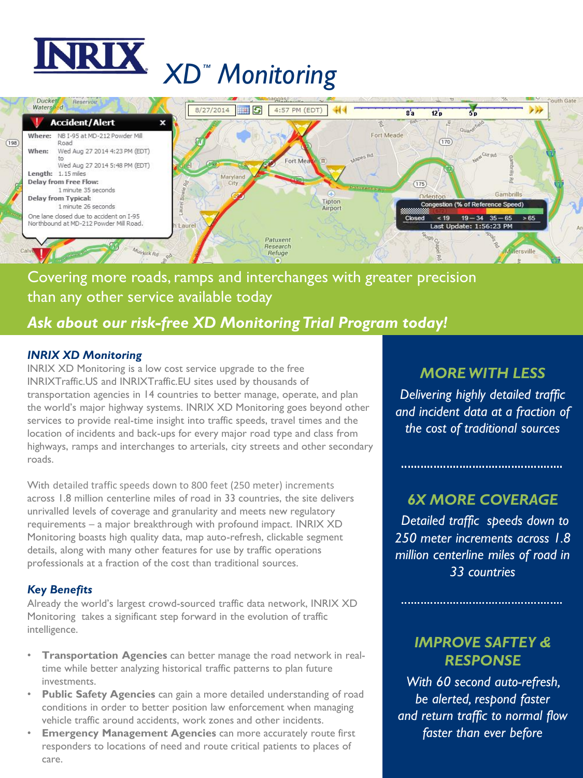



# Covering more roads, ramps and interchanges with greater precision than any other service available today

# *Ask about our risk-free XD Monitoring Trial Program today!*

### *INRIX XD Monitoring*

INRIX XD Monitoring is a low cost service upgrade to the free INRIXTraffic.US and INRIXTraffic.EU sites used by thousands of transportation agencies in 14 countries to better manage, operate, and plan the world's major highway systems. INRIX XD Monitoring goes beyond other services to provide real-time insight into traffic speeds, travel times and the location of incidents and back-ups for every major road type and class from highways, ramps and interchanges to arterials, city streets and other secondary roads.

With detailed traffic speeds down to 800 feet (250 meter) increments across 1.8 million centerline miles of road in 33 countries, the site delivers unrivalled levels of coverage and granularity and meets new regulatory requirements – a major breakthrough with profound impact. INRIX XD Monitoring boasts high quality data, map auto-refresh, clickable segment details, along with many other features for use by traffic operations professionals at a fraction of the cost than traditional sources.

### *Key Benefits*

Already the world's largest crowd-sourced traffic data network, INRIX XD Monitoring takes a significant step forward in the evolution of traffic intelligence.

- **Transportation Agencies** can better manage the road network in realtime while better analyzing historical traffic patterns to plan future investments.
- **Public Safety Agencies** can gain a more detailed understanding of road conditions in order to better position law enforcement when managing vehicle traffic around accidents, work zones and other incidents.
- **Emergency Management Agencies** can more accurately route first responders to locations of need and route critical patients to places of care.

## *MORE WITH LESS*

*Delivering highly detailed traffic and incident data at a fraction of the cost of traditional sources* 

### *6X MORE COVERAGE*

*Detailed traffic speeds down to 250 meter increments across 1.8 million centerline miles of road in 33 countries*

## *IMPROVE SAFTEY & RESPONSE*

*With 60 second auto-refresh, be alerted, respond faster and return traffic to normal flow faster than ever before*